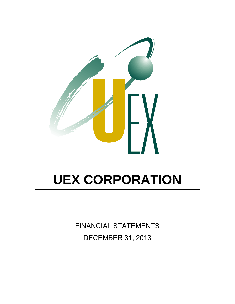

FINANCIAL STATEMENTS DECEMBER 31, 2013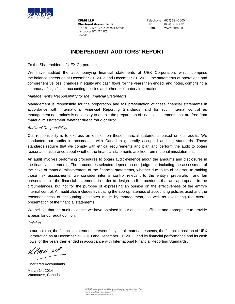

**KPMG LLP Chartered Accountants** PO Box 10426 777 Dunsmuir Street Vancouver BC V7Y 1K3 Canada

Telephone (604) 691-3000 Fax (604) 691-3031 Internet www.kpmg.ca

### **INDEPENDENT AUDITORS' REPORT**

To the Shareholders of UEX Corporation

We have audited the accompanying financial statements of UEX Corporation, which comprise the balance sheets as at December 31, 2013 and December 31, 2012, the statements of operations and comprehensive loss, changes in equity and cash flows for the years then ended, and notes, comprising a summary of significant accounting policies and other explanatory information.

### *Management's Responsibility for the Financial Statements*

Management is responsible for the preparation and fair presentation of these financial statements in accordance with International Financial Reporting Standards, and for such internal control as management determines is necessary to enable the preparation of financial statements that are free from material misstatement, whether due to fraud or error.

### *Auditors' Responsibility*

Our responsibility is to express an opinion on these financial statements based on our audits. We conducted our audits in accordance with Canadian generally accepted auditing standards. Those standards require that we comply with ethical requirements and plan and perform the audit to obtain reasonable assurance about whether the financial statements are free from material misstatement.

An audit involves performing procedures to obtain audit evidence about the amounts and disclosures in the financial statements. The procedures selected depend on our judgment, including the assessment of the risks of material misstatement of the financial statements, whether due to fraud or error. In making those risk assessments, we consider internal control relevant to the entity's preparation and fair presentation of the financial statements in order to design audit procedures that are appropriate in the circumstances, but not for the purpose of expressing an opinion on the effectiveness of the entity's internal control. An audit also includes evaluating the appropriateness of accounting policies used and the reasonableness of accounting estimates made by management, as well as evaluating the overall presentation of the financial statements.

We believe that the audit evidence we have obtained in our audits is sufficient and appropriate to provide a basis for our audit opinion.

### *Opinion*

In our opinion, the financial statements present fairly, in all material respects, the financial position of UEX Corporation as at December 31, 2013 and December 31, 2012, and its financial performance and its cash flows for the years then ended in accordance with International Financial Reporting Standards**.**

 $k$ *PMG 14P* 

Chartered Accountants March 14, 2014 Vancouver, Canada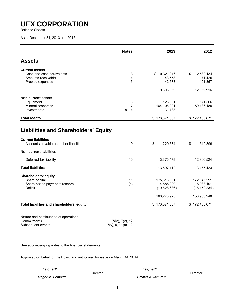Balance Sheets

As at December 31, 2013 and 2012

|                                                                                                        | <b>Notes</b>                               | 2013                                     | 2012                                       |
|--------------------------------------------------------------------------------------------------------|--------------------------------------------|------------------------------------------|--------------------------------------------|
| <b>Assets</b>                                                                                          |                                            |                                          |                                            |
| <b>Current assets</b>                                                                                  |                                            |                                          |                                            |
| Cash and cash equivalents                                                                              | 3                                          | 9,321,916<br>\$                          | 12,580,134<br>\$                           |
| Amounts receivable                                                                                     | $\overline{\mathbf{4}}$                    | 143,558                                  | 171,425                                    |
| Prepaid expenses                                                                                       | 5                                          | 142,578                                  | 101,357                                    |
|                                                                                                        |                                            | 9,608,052                                | 12,852,916                                 |
| <b>Non-current assets</b>                                                                              |                                            |                                          |                                            |
| Equipment                                                                                              | 6                                          | 125,031                                  | 171,566                                    |
| Mineral properties                                                                                     | 7                                          | 164,106,221                              | 159,436,189                                |
| Investments                                                                                            | 8, 14                                      | 31,733                                   |                                            |
| <b>Total assets</b>                                                                                    |                                            | \$173,871,037                            | \$172,460,671                              |
| <b>Current liabilities</b><br>Accounts payable and other liabilities<br><b>Non-current liabilities</b> | 9                                          | \$<br>220,634                            | \$<br>510,899                              |
| Deferred tax liability                                                                                 | 10                                         | 13,376,478                               | 12,966,524                                 |
| <b>Total liabilities</b>                                                                               |                                            | 13,597,112                               | 13,477,423                                 |
| Shareholders' equity<br>Share capital<br>Share-based payments reserve<br><b>Deficit</b>                | 11<br>11(c)                                | 175,316,661<br>4,585,900<br>(19,628,636) | 172,345,291<br>5,088,191<br>(18, 450, 234) |
|                                                                                                        |                                            | 160,273,925                              | 158,983,248                                |
| Total liabilities and shareholders' equity                                                             |                                            | \$173,871,037                            | \$172,460,671                              |
| Nature and continuance of operations<br>Commitments<br>Subsequent events                               | 1<br>7(iv), 7(v), 12<br>7(v), 9, 11(c), 12 |                                          |                                            |

See accompanying notes to the financial statements.

Approved on behalf of the Board and authorized for issue on March 14, 2014.

 *"signed" "signed"*  DirectorDirector

**Roger M. Lemaitre Emmet A. McGrath**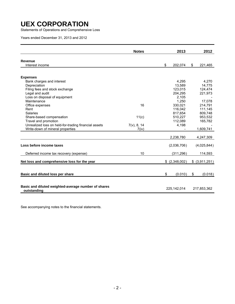Statements of Operations and Comprehensive Loss

Years ended December 31, 2013 and 2012

|                                                                    | <b>Notes</b> | 2013            | 2012           |
|--------------------------------------------------------------------|--------------|-----------------|----------------|
|                                                                    |              |                 |                |
| <b>Revenue</b>                                                     |              |                 |                |
| Interest income                                                    |              | \$<br>202,074   | \$<br>221,465  |
| <b>Expenses</b>                                                    |              |                 |                |
| Bank charges and interest                                          |              | 4,295           | 4,270          |
| Depreciation                                                       |              | 13,589          | 14,775         |
| Filing fees and stock exchange                                     |              | 123,015         | 124,474        |
| Legal and audit                                                    |              | 204,295         | 221,973        |
| Loss on disposal of equipment                                      |              | 2,105           |                |
| Maintenance                                                        |              | 1,250           | 17,078         |
| Office expenses                                                    | 16           | 330,021         | 214,791        |
| Rent                                                               |              | 116,042         | 111,145        |
| Salaries                                                           |              | 817,654         | 809,748        |
| Share-based compensation                                           | 11(c)        | 510,227         | 953,532        |
| Travel and promotion                                               |              | 112,089         | 165,782        |
| Unrealized loss on held-for-trading financial assets               | 7(v), 8, 14  | 4,198           |                |
| Write-down of mineral properties                                   | 7(iv)        |                 | 1,609,741      |
|                                                                    |              | 2,238,780       | 4,247,309      |
|                                                                    |              |                 |                |
| Loss before income taxes                                           |              | (2,036,706)     | (4,025,844)    |
| Deferred income tax recovery (expense)                             | 10           | (311, 296)      | 114,593        |
| Net loss and comprehensive loss for the year                       |              | $$$ (2,348,002) | \$ (3,911,251) |
|                                                                    |              |                 |                |
| Basic and diluted loss per share                                   |              | \$<br>(0.010)   | \$<br>(0.018)  |
|                                                                    |              |                 |                |
| Basic and diluted weighted-average number of shares<br>outstanding |              | 225, 142, 014   | 217,853,362    |

See accompanying notes to the financial statements.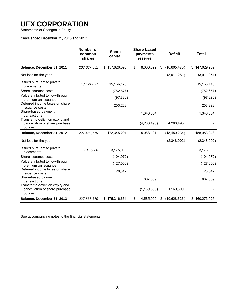Statements of Changes in Equity

Years ended December 31, 2013 and 2012

|                                                                                | <b>Number of</b><br>common<br>shares | <b>Share</b><br>capital | Share-based<br>payments<br>reserve | <b>Deficit</b>     | <b>Total</b>      |
|--------------------------------------------------------------------------------|--------------------------------------|-------------------------|------------------------------------|--------------------|-------------------|
| Balance, December 31, 2011                                                     | 203,067,652                          | \$157,826,395           | 8,008,322<br>\$                    | (18,805,478)<br>\$ | 147,029,239<br>S. |
| Net loss for the year                                                          |                                      |                         |                                    | (3,911,251)        | (3,911,251)       |
| Issued pursuant to private<br>placements                                       | 18,421,027                           | 15,166,176              |                                    |                    | 15,166,176        |
| Share issuance costs                                                           |                                      | (752, 677)              |                                    |                    | (752, 677)        |
| Value attributed to flow-through<br>premium on issuance                        |                                      | (97, 826)               |                                    |                    | (97, 826)         |
| Deferred income taxes on share<br>issuance costs                               |                                      | 203,223                 |                                    |                    | 203,223           |
| Share-based payment<br>transactions                                            |                                      |                         | 1,346,364                          |                    | 1,346,364         |
| Transfer to deficit on expiry and<br>cancellation of share purchase<br>options |                                      |                         | (4,266,495)                        | 4,266,495          |                   |
| Balance, December 31, 2012                                                     | 221,488,679                          | 172,345,291             | 5,088,191                          | (18, 450, 234)     | 158,983,248       |
| Net loss for the year                                                          |                                      |                         |                                    | (2,348,002)        | (2,348,002)       |
| Issued pursuant to private<br>placements                                       | 6,350,000                            | 3,175,000               |                                    |                    | 3,175,000         |
| Share issuance costs                                                           |                                      | (104, 972)              |                                    |                    | (104, 972)        |
| Value attributed to flow-through<br>premium on issuance                        |                                      | (127,000)               |                                    |                    | (127,000)         |
| Deferred income taxes on share<br>issuance costs                               |                                      | 28,342                  |                                    |                    | 28,342            |
| Share-based payment<br>transactions                                            |                                      |                         | 667,309                            |                    | 667,309           |
| Transfer to deficit on expiry and<br>cancellation of share purchase<br>options |                                      |                         | (1, 169, 600)                      | 1,169,600          |                   |
| Balance, December 31, 2013                                                     | 227,838,679                          | \$175,316,661           | \$<br>4,585,900                    | (19,628,636)<br>\$ | \$160,273,925     |

See accompanying notes to the financial statements.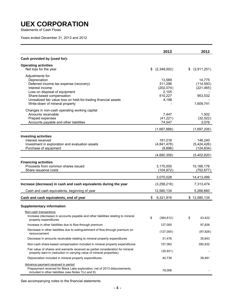Statements of Cash Flows

Years ended December 31, 2013 and 2012

|                                                                                                                                                                            | 2013                                     | 2012                                 |
|----------------------------------------------------------------------------------------------------------------------------------------------------------------------------|------------------------------------------|--------------------------------------|
| Cash provided by (used for):                                                                                                                                               |                                          |                                      |
| <b>Operating activities</b>                                                                                                                                                |                                          |                                      |
| Net loss for the year                                                                                                                                                      | (2,348,002)<br>S.                        | \$ (3,911,251)                       |
| Adjustments for:<br>Depreciation<br>Deferred income tax expense (recovery)<br>Interest income<br>Loss on disposal of equipment                                             | 13,589<br>311,296<br>(202, 074)<br>2,105 | 14,775<br>(114, 593)<br>(221, 465)   |
| Share-based compensation<br>Unrealized fair value loss on held-for-trading financial assets<br>Write-down of mineral property                                              | 510,227<br>4,198                         | 953,532<br>1,609,741                 |
| Changes in non-cash operating working capital<br>Amounts receivable<br>Prepaid expenses<br>Accounts payable and other liabilities                                          | 7,447<br>(41, 221)<br>74,547             | 1,502<br>(32, 522)<br>3,076          |
|                                                                                                                                                                            | (1,667,888)                              | (1,697,205)                          |
| <b>Investing activities</b><br>Interest received<br>Investment in exploration and evaluation assets<br>Purchase of equipment                                               | 191,018<br>(4,841,478)<br>(9,898)        | 146,240<br>(5,424,426)<br>(124, 634) |
|                                                                                                                                                                            | (4,660,358)                              | (5,402,820)                          |
| <b>Financing activities</b><br>Proceeds from common shares issued<br>Share issuance costs                                                                                  | 3,175,000<br>(104, 972)                  | 15,166,176<br>(752, 677)             |
|                                                                                                                                                                            | 3,070,028                                | 14,413,499                           |
| Increase (decrease) in cash and cash equivalents during the year                                                                                                           | (3,258,218)                              | 7,313,474                            |
| Cash and cash equivalents, beginning of year                                                                                                                               | 12,580,134                               | 5,266,660                            |
| Cash and cash equivalents, end of year                                                                                                                                     | 9,321,916<br>S.                          | \$12,580,134                         |
| <b>Supplementary information</b>                                                                                                                                           |                                          |                                      |
| Non-cash transactions<br>Increase (decrease) in accounts payable and other liabilities relating to mineral<br>property expenditures                                        | \$<br>(364, 812)                         | 43,422<br>\$                         |
| Increase in other liabilities due to flow-through premium                                                                                                                  | 127,000                                  | 97,826                               |
| Decrease in other liabilities due to extinguishment of flow-through premium on<br>renouncement                                                                             | (127,000)                                | (97, 826)                            |
| Decrease in amounts receivable relating to mineral property expenditures                                                                                                   | 31,476                                   | 35,643                               |
| Non-cash share-based compensation included in mineral property expenditures                                                                                                | 157,082                                  | 392,832                              |
| Fair value of shares and warrants received as partial consideration for mineral<br>property earn-in (reduction in carrying value of mineral properties)                    | (35, 931)                                |                                      |
| Depreciation included in mineral property expenditures                                                                                                                     | 40,739                                   | 38,481                               |
| Advance payment received in period<br>Prepayment received for Black Lake exploration, net of 2013 disbursements,<br>included in other liabilities (see Notes $7(v)$ and 9) | 79,006                                   |                                      |

See accompanying notes to the financial statements.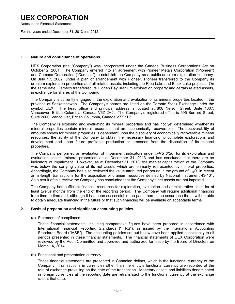Notes to the Financial Statements

For the years ended December 31, 2013 and 2012

#### **1. Nature and continuance of operations**

UEX Corporation (the "Company") was incorporated under the Canada Business Corporations Act on October 2, 2001. The Company entered into an agreement with Pioneer Metals Corporation ("Pioneer") and Cameco Corporation ("Cameco") to establish the Company as a public uranium exploration company. On July 17, 2002, under a plan of arrangement with Pioneer, Pioneer transferred to the Company its uranium exploration properties and all related assets, including the Riou Lake and Black Lake projects. On the same date, Cameco transferred its Hidden Bay uranium exploration property and certain related assets, in exchange for shares of the Company.

 The Company is currently engaged in the exploration and evaluation of its mineral properties located in the province of Saskatchewan. The Company's shares are listed on the Toronto Stock Exchange under the symbol UEX. The head office and principal address is located at 808 Nelson Street, Suite 1007, Vancouver, British Columbia, Canada V6Z 2H2. The Company's registered office is 595 Burrard Street, Suite 2600, Vancouver, British Columbia, Canada V7X 1L3.

The Company is exploring and evaluating its mineral properties and has not yet determined whether its mineral properties contain mineral resources that are economically recoverable. The recoverability of amounts shown for mineral properties is dependent upon the discovery of economically recoverable mineral resources, the ability of the Company to obtain the necessary financing to complete explorations and development and upon future profitable production or proceeds from the disposition of its mineral properties.

The Company performed an evaluation of impairment indicators under *IFRS 6(20)* for its exploration and evaluation assets (mineral properties) as at December 31, 2013 and has concluded that there are no indicators of impairment. However, as at December 31, 2013, the market capitalization of the Company was below the carrying value of its net assets which are primarily represented by mineral properties. Accordingly, the Company has also reviewed the value attributed per pound in the ground of  $U_3O_8$  in recent arms-length transactions for the acquisition of uranium resources defined by National Instrument 43-101. As a result of this review the Company has concluded that the Company's net assets are not impaired.

 The Company has sufficient financial resources for exploration, evaluation and administrative costs for at least twelve months from the end of the reporting period. The Company will require additional financing from time to time and, although it has been successful in the past, there is no assurance that it will be able to obtain adequate financing in the future or that such financing will be available on acceptable terms.

### **2. Basis of preparation and significant accounting policies**

(a) Statement of compliance

 These financial statements, including comparative figures have been prepared in accordance with International Financial Reporting Standards ("IFRS"), as issued by the International Accounting Standards Board ("IASB"). The accounting policies set out below have been applied consistently to all periods presented in these financial statements. The financial statements of UEX Corporation were reviewed by the Audit Committee and approved and authorized for issue by the Board of Directors on March 14, 2014.

### (b) Functional and presentation currency

These financial statements are presented in Canadian dollars, which is the functional currency of the Company. Transactions in currencies other than the entity's functional currency are recorded at the rate of exchange prevailing on the date of the transaction. Monetary assets and liabilities denominated in foreign currencies at the reporting date are retranslated to the functional currency at the exchange rate at that date.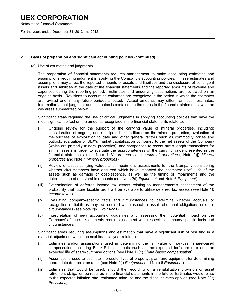Notes to the Financial Statements

For the years ended December 31, 2013 and 2012

### **2. Basis of preparation and significant accounting policies (continued)**

(c) Use of estimates and judgments

 The preparation of financial statements requires management to make accounting estimates and assumptions requiring judgment in applying the Company's accounting policies. These estimates and assumptions may affect the reported amounts of assets and liabilities and the disclosure of contingent assets and liabilities at the date of the financial statements and the reported amounts of revenue and expenses during the reporting period. Estimates and underlying assumptions are reviewed on an ongoing basis. Revisions to accounting estimates are recognized in the period in which the estimates are revised and in any future periods affected. Actual amounts may differ from such estimates. Information about judgment and estimates is contained in the notes to the financial statements, with the key areas summarized below.

 Significant areas requiring the use of critical judgments in applying accounting policies that have the most significant effect on the amounts recognized in the financial statements relate to:

- (i) Ongoing review for the support of the carrying value of mineral properties, including: consideration of ongoing and anticipated expenditures on the mineral properties; evaluation of the success of exploration to date and other general factors such as commodity prices and outlook; evaluation of UEX's market capitalization compared to the net assets of the Company (which are primarily mineral properties); and comparison to recent arm's length transactions for similar assets in order to evaluate the appropriateness of the carrying value presented in the financial statements (see Note 1 *Nature and continuance of operations*, Note 2(j) *Mineral properties* and Note 7 *Mineral properties*).
- (ii) Review of asset carrying values and impairment assessments for the Company considering whether circumstances have occurred which have impacted the estimated useful life of the assets such as damage or obsolescence, as well as the timing of impairments and the determination of recoverable amounts (see Note 2(i) *Equipment* and Note 6 *Equipment*).
- (iii) Determination of deferred income tax assets relating to management's assessment of the probability that future taxable profit will be available to utilize deferred tax assets (see Note 10 *Income taxes*).
- (iv) Evaluating company-specific facts and circumstances to determine whether accruals or recognition of liabilities may be required with respect to asset retirement obligations or other circumstances (see Note 2(k) *Provisions*).
- (v) Interpretation of new accounting guidelines and assessing their potential impact on the Company's financial statements requires judgment with respect to company-specific facts and circumstances.

 Significant areas requiring assumptions and estimation that have a significant risk of resulting in a material adjustment within the next financial year relate to:

- (i) Estimates and/or assumptions used in determining the fair value of non-cash share-based compensation, including Black-Scholes inputs such as the expected forfeiture rate and the expected life of share-purchase options (see Note 11(c) *Share-based compensation*).
- (ii) Assumptions used to estimate the useful lives of property, plant and equipment for determining appropriate depreciation rates (see Note 2(i) *Equipment* and Note 6 *Equipment*).
- (iii) Estimates that would be used, should the recording of a rehabilitation provision or asset retirement obligation be required in the financial statements in the future. Estimates would relate to the expected inflation rate, estimated mine life and the discount rates applied (see Note 2(k) *Provisions*).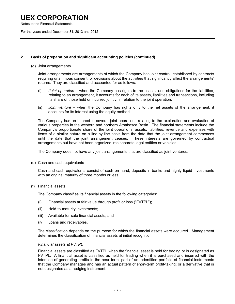Notes to the Financial Statements

For the years ended December 31, 2013 and 2012

### **2. Basis of preparation and significant accounting policies (continued)**

#### (d) Joint arrangements

Joint arrangements are arrangements of which the Company has joint control, established by contracts requiring unanimous consent for decisions about the activities that significantly affect the arrangements' returns. They are classified and accounted for as follows:

- (i) *Joint operation* when the Company has rights to the assets, and obligations for the liabilities, relating to an arrangement, it accounts for each of its assets, liabilities and transactions, including its share of those held or incurred jointly, in relation to the joint operation.
- (ii) *Joint venture* when the Company has rights only to the net assets of the arrangement, it accounts for its interest using the equity method.

 The Company has an interest in several joint operations relating to the exploration and evaluation of various properties in the western and northern Athabasca Basin. The financial statements include the Company's proportionate share of the joint operations' assets, liabilities, revenue and expenses with items of a similar nature on a line-by-line basis from the date that the joint arrangement commences until the date that the joint arrangement ceases. These interests are governed by contractual arrangements but have not been organized into separate legal entities or vehicles.

The Company does not have any joint arrangements that are classified as joint ventures.

(e) Cash and cash equivalents

 Cash and cash equivalents consist of cash on hand, deposits in banks and highly liquid investments with an original maturity of three months or less.

(f) Financial assets

The Company classifies its financial assets in the following categories:

- (i) Financial assets at fair value through profit or loss ("FVTPL");
- (ii) Held-to-maturity investments;
- (iii) Available-for-sale financial assets; and
- (iv) Loans and receivables.

 The classification depends on the purpose for which the financial assets were acquired. Management determines the classification of financial assets at initial recognition.

#### *Financial assets at FVTPL*

 Financial assets are classified as FVTPL when the financial asset is held for trading or is designated as FVTPL. A financial asset is classified as held for trading when it is purchased and incurred with the intention of generating profits in the near term, part of an indentified portfolio of financial instruments that the Company manages and has an actual pattern of short-term profit-taking; or a derivative that is not designated as a hedging instrument.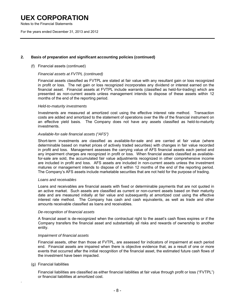Notes to the Financial Statements

For the years ended December 31, 2013 and 2012

### **2. Basis of preparation and significant accounting policies (continued)**

### (f) Financial assets (continued)

### *Financial assets at FVTPL (continued)*

Financial assets classified as FVTPL are stated at fair value with any resultant gain or loss recognized in profit or loss. The net gain or loss recognized incorporates any dividend or interest earned on the financial asset. Financial assets at FVTPL include warrants (classified as held-for-trading) which are presented as non-current assets unless management intends to dispose of these assets within 12 months of the end of the reporting period.

#### *Held-to-maturity investments*

 Investments are measured at amortized cost using the effective interest rate method. Transaction costs are added and amortized to the statement of operations over the life of the financial instrument on an effective yield basis. The Company does not have any assets classified as held-to-maturity investments.

#### *Available-for-sale financial assets ("AFS")*

 Short-term investments are classified as available-for-sale and are carried at fair value (where determinable based on market prices of actively traded securities) with changes in fair value recorded in profit and loss. Management assesses the carrying value of AFS financial assets each period and any impairment charges are recognized in profit or loss. When financial assets classified as availablefor-sale are sold, the accumulated fair value adjustments recognized in other comprehensive income are included in profit and loss. AFS assets are included in non-current assets unless the investment matures or management intends to dispose of it within 12 months of the end of the reporting period. The Company's AFS assets include marketable securities that are not held for the purpose of trading.

#### *Loans and receivables*

 Loans and receivables are financial assets with fixed or determinable payments that are not quoted in an active market. Such assets are classified as current or non-current assets based on their maturity date and are measured initially at fair value and subsequently at amortized cost using the effective interest rate method. The Company has cash and cash equivalents, as well as trade and other amounts receivable classified as loans and receivables.

#### *De-recognition of financial assets*

 A financial asset is de-recognized when the contractual right to the asset's cash flows expires or if the Company transfers the financial asset and substantially all risks and rewards of ownership to another entity.

### *Impairment of financial assets*

 Financial assets, other than those at FVTPL, are assessed for indicators of impairment at each period end. Financial assets are impaired when there is objective evidence that, as a result of one or more events that occurred after the initial recognition of the financial asset, the estimated future cash flows of the investment have been impacted.

#### (g) Financial liabilities

.

 Financial liabilities are classified as either financial liabilities at fair value through profit or loss ("FVTPL") or financial liabilities at amortized cost.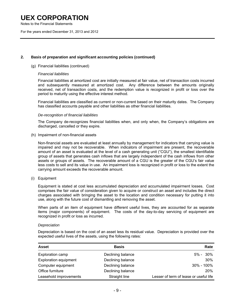Notes to the Financial Statements

For the years ended December 31, 2013 and 2012

### **2. Basis of preparation and significant accounting policies (continued)**

#### (g) Financial liabilities (continued)

#### *Financial liabilities*

Financial liabilities at amortized cost are initially measured at fair value, net of transaction costs incurred and subsequently measured at amortized cost. Any difference between the amounts originally received, net of transaction costs, and the redemption value is recognized in profit or loss over the period to maturity using the effective interest method.

Financial liabilities are classified as current or non-current based on their maturity dates. The Company has classified accounts payable and other liabilities as other financial liabilities.

#### *De-recognition of financial liabilities*

The Company de-recognizes financial liabilities when, and only when, the Company's obligations are discharged, cancelled or they expire.

(h) Impairment of non-financial assets

 Non-financial assets are evaluated at least annually by management for indicators that carrying value is impaired and may not be recoverable. When indicators of impairment are present, the recoverable amount of an asset is evaluated at the level of a cash generating unit ("CGU"), the smallest identifiable group of assets that generates cash inflows that are largely independent of the cash inflows from other assets or groups of assets. The recoverable amount of a CGU is the greater of the CGU's fair value less costs to sell and its value in use. An impairment loss is recognized in profit or loss to the extent the carrying amount exceeds the recoverable amount.

(i) Equipment

Equipment is stated at cost less accumulated depreciation and accumulated impairment losses. Cost comprises the fair value of consideration given to acquire or construct an asset and includes the direct charges associated with bringing the asset to the location and condition necessary for putting it into use, along with the future cost of dismantling and removing the asset.

 When parts of an item of equipment have different useful lives, they are accounted for as separate items (major components) of equipment. The costs of the day-to-day servicing of equipment are recognized in profit or loss as incurred.

#### *Depreciation*

 Depreciation is based on the cost of an asset less its residual value. Depreciation is provided over the expected useful lives of the assets, using the following rates:

| <b>Asset</b>                 | <b>Basis</b>      | Rate                                   |
|------------------------------|-------------------|----------------------------------------|
| Exploration camp             | Declining balance | $5\% - 30\%$                           |
| <b>Exploration equipment</b> | Declining balance | 30%                                    |
| Computer equipment           | Declining balance | 30% - 100%                             |
| Office furniture             | Declining balance | <b>20%</b>                             |
| Leasehold improvements       | Straight line     | Lesser of term of lease or useful life |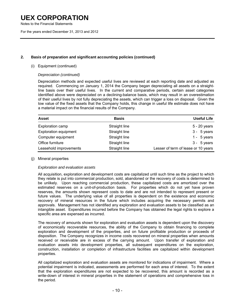Notes to the Financial Statements

For the years ended December 31, 2013 and 2012

### **2. Basis of preparation and significant accounting policies (continued)**

### (i) Equipment (continued)

### *Depreciation (continued)*

 Depreciation methods and expected useful lives are reviewed at each reporting date and adjusted as required. Commencing on January 1, 2014 the Company began depreciating all assets on a straightline basis over their useful lives. In the current and comparative periods, certain asset categories identified above were depreciated on a declining-balance basis, which may result in an overestimation of their useful lives by not fully depreciating the assets, which can trigger a loss on disposal. Given the low value of the fixed assets that the Company holds, this change in useful life estimate does not have a material impact on the financial results of the Company.

| <b>Asset</b>                 | <b>Basis</b>  | <b>Useful Life</b>                  |
|------------------------------|---------------|-------------------------------------|
| Exploration camp             | Straight line | 5 - 20 years                        |
| <b>Exploration equipment</b> | Straight line | $3 - 5$ years                       |
| Computer equipment           | Straight line | 1 - $5$ years                       |
| Office furniture             | Straight line | $3 - 5$ years                       |
| Leasehold improvements       | Straight line | Lesser of term of lease or 10 years |

### (j) Mineral properties

### *Exploration and evaluation assets*

 All acquisition, exploration and development costs are capitalized until such time as the project to which they relate is put into commercial production, sold, abandoned or the recovery of costs is determined to be unlikely. Upon reaching commercial production, these capitalized costs are amortized over the estimated reserves on a unit-of-production basis. For properties which do not yet have proven reserves, the amounts shown represent costs to date and are not intended to represent present or future values. The underlying value of all properties is dependent on the existence and economic recovery of mineral resources in the future which includes acquiring the necessary permits and approvals. Management has not identified any exploration and evaluation assets to be classified as an intangible asset. Expenditures incurred before the Company has obtained the legal rights to explore a specific area are expensed as incurred.

 The recovery of amounts shown for exploration and evaluation assets is dependent upon the discovery of economically recoverable resources, the ability of the Company to obtain financing to complete exploration and development of the properties, and on future profitable production or proceeds of disposition. The Company recognizes in income costs recovered on mineral properties when amounts received or receivable are in excess of the carrying amount. Upon transfer of exploration and evaluation assets into development properties, all subsequent expenditures on the exploration, construction, installation or completion of infrastructure facilities are capitalized within development properties.

All capitalized exploration and evaluation assets are monitored for indications of impairment. Where a potential impairment is indicated, assessments are performed for each area of interest. To the extent that the exploration expenditures are not expected to be recovered, this amount is recorded as a write-down of interest in mineral properties in the statement of operations and comprehensive loss in the period.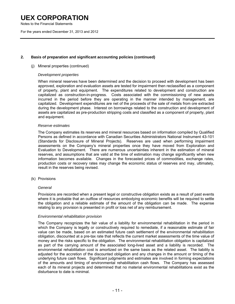Notes to the Financial Statements

For the years ended December 31, 2013 and 2012

### **2. Basis of preparation and significant accounting policies (continued)**

### (j) Mineral properties (continued)

#### *Development properties*

 When mineral reserves have been determined and the decision to proceed with development has been approved, exploration and evaluation assets are tested for impairment then reclassified as a component of property, plant and equipment. The expenditures related to development and construction are capitalized as construction-in-progress. Costs associated with the commissioning of new assets incurred in the period before they are operating in the manner intended by management, are capitalized. Development expenditures are net of the proceeds of the sale of metals from ore extracted during the development phase. Interest on borrowings related to the construction and development of assets are capitalized as pre-production stripping costs and classified as a component of property, plant and equipment.

#### *Reserve estimates*

 The Company estimates its reserves and mineral resources based on information compiled by Qualified Persons as defined in accordance with Canadian Securities Administrators National Instrument 43-101 (Standards for Disclosure of Mineral Projects). Reserves are used when performing impairment assessments on the Company's mineral properties once they have moved from Exploration and Evaluation to Development. There are numerous uncertainties inherent in the estimation of mineral reserves, and assumptions that are valid at the time of estimation may change significantly when new information becomes available. Changes in the forecasted prices of commodities, exchange rates, production costs or recovery rates may change the economic status of reserves and may, ultimately, result in the reserves being revised.

(k) Provisions

#### *General*

 Provisions are recorded when a present legal or constructive obligation exists as a result of past events where it is probable that an outflow of resources embodying economic benefits will be required to settle the obligation and a reliable estimate of the amount of the obligation can be made. The expense relating to any provision is presented in profit or loss net of any reimbursement.

### *Environmental rehabilitation provision*

 The Company recognizes the fair value of a liability for environmental rehabilitation in the period in which the Company is legally or constructively required to remediate, if a reasonable estimate of fair value can be made, based on an estimated future cash settlement of the environmental rehabilitation obligation, discounted at a pre-tax rate that reflects the current market assessments of the time value of money and the risks specific to the obligation. The environmental rehabilitation obligation is capitalized as part of the carrying amount of the associated long-lived asset and a liability is recorded. The environmental rehabilitation cost is amortized on the same basis as the related asset. The liability is adjusted for the accretion of the discounted obligation and any changes in the amount or timing of the underlying future cash flows. Significant judgments and estimates are involved in forming expectations of the amounts and timing of environmental rehabilitation cash flows. The Company has assessed each of its mineral projects and determined that no material environmental rehabilitations exist as the disturbance to date is minimal.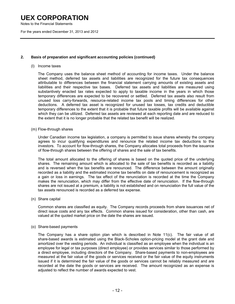Notes to the Financial Statements

For the years ended December 31, 2013 and 2012

### **2. Basis of preparation and significant accounting policies (continued)**

#### (l) Income taxes

 The Company uses the balance sheet method of accounting for income taxes. Under the balance sheet method, deferred tax assets and liabilities are recognized for the future tax consequences attributable to differences between the financial statement carrying amounts of existing assets and liabilities and their respective tax bases. Deferred tax assets and liabilities are measured using substantively enacted tax rates expected to apply to taxable income in the years in which those temporary differences are expected to be recovered or settled. Deferred tax assets also result from unused loss carry-forwards, resource-related income tax pools and timing differences for other deductions. A deferred tax asset is recognized for unused tax losses, tax credits and deductible temporary differences to the extent that it is probable that future taxable profits will be available against which they can be utilized. Deferred tax assets are reviewed at each reporting date and are reduced to the extent that it is no longer probable that the related tax benefit will be realized.

(m) Flow-through shares

 Under Canadian income tax legislation, a company is permitted to issue shares whereby the company agrees to incur qualifying expenditures and renounce the related income tax deductions to the investors. To account for flow-through shares, the Company allocates total proceeds from the issuance of flow-through shares between the offering of shares and the sale of tax benefits.

 The total amount allocated to the offering of shares is based on the quoted price of the underlying shares. The remaining amount which is allocated to the sale of tax benefits is recorded as a liability and is reversed when the tax benefits are renounced. The difference between the amount originally recorded as a liability and the estimated income tax benefits on date of renouncement is recognized as a gain or loss in earnings. The tax effect of the renunciation is recorded at the time the Company makes the renunciation, which may differ from the effective date of renunciation. If the flow-through shares are not issued at a premium, a liability is not established and on renunciation the full value of the tax assets renounced is recorded as a deferred tax expense.

(n) Share capital

 Common shares are classified as equity. The Company records proceeds from share issuances net of direct issue costs and any tax effects. Common shares issued for consideration, other than cash, are valued at the quoted market price on the date the shares are issued.

#### (o) Share-based payments

 The Company has a share option plan which is described in Note 11(c). The fair value of all share-based awards is estimated using the Black-Scholes option-pricing model at the grant date and amortized over the vesting periods. An individual is classified as an employee when the individual is an employee for legal or tax purposes (direct employee) or provides services similar to those performed by a direct employee, including directors of the Company. Share-based payments to non-employees are measured at the fair value of the goods or services received or the fair value of the equity instruments issued if it is determined the fair value of the goods or services cannot be reliably measured and are recorded at the date the goods or services are received. The amount recognized as an expense is adjusted to reflect the number of awards expected to vest.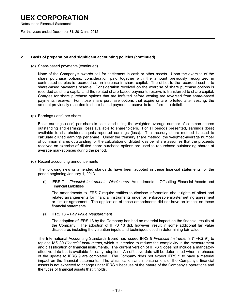Notes to the Financial Statements

For the years ended December 31, 2013 and 2012

### **2. Basis of preparation and significant accounting policies (continued)**

(o) Share-based payments (continued)

 None of the Company's awards call for settlement in cash or other assets. Upon the exercise of the share purchase options, consideration paid together with the amount previously recognized in contributed surplus is recorded as an increase in share capital. The offset to the recorded cost is to share-based payments reserve. Consideration received on the exercise of share purchase options is recorded as share capital and the related share-based payments reserve is transferred to share capital. Charges for share purchase options that are forfeited before vesting are reversed from share-based payments reserve. For those share purchase options that expire or are forfeited after vesting, the amount previously recorded in share-based payments reserve is transferred to deficit.

(p) Earnings (loss) per share

 Basic earnings (loss) per share is calculated using the weighted-average number of common shares outstanding and earnings (loss) available to shareholders. For all periods presented, earnings (loss) available to shareholders equals reported earnings (loss). The treasury share method is used to calculate diluted earnings per share. Under the treasury share method, the weighted-average number of common shares outstanding for the calculation of diluted loss per share assumes that the proceeds received on exercise of diluted share purchase options are used to repurchase outstanding shares at average market prices during the period.

(q) Recent accounting announcements

The following new or amended standards have been adopted in these financial statements for the period beginning January 1, 2013.

(i) IFRS 7 – *Financial Instruments: Disclosures*: Amendments – Offsetting Financial Assets and Financial Liabilities

The amendments to IFRS 7 require entities to disclose information about rights of offset and related arrangements for financial instruments under an enforceable master netting agreement or similar agreement. The application of these amendments did not have an impact on these financial statements.

(ii) IFRS 13 – *Fair Value Measurement*

The adoption of IFRS 13 by the Company has had no material impact on the financial results of the Company. The adoption of IFRS 13 did, however, result in some additional fair value disclosures including the valuation inputs and techniques used in determining fair value.

 The International Accounting Standards Board has issued IFRS 9 *Financial Instruments* ("IFRS 9") to replace IAS 39 *Financial Instruments*, which is intended to reduce the complexity in the measurement and classification of financial instruments. The current version of IFRS 9 does not include a mandatory effective date but is available for early adoption. An effective date will be determined when all phases of the update to IFRS 9 are completed. The Company does not expect IFRS 9 to have a material impact on the financial statements. The classification and measurement of the Company's financial assets is not expected to change under IFRS 9 because of the nature of the Company's operations and the types of financial assets that it holds.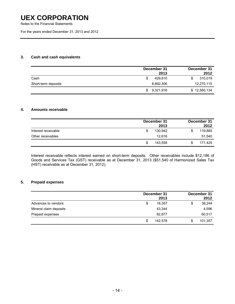Notes to the Financial Statements

For the years ended December 31, 2013 and 2012

### **3. Cash and cash equivalents**

|                     | December 31 | 2013      |   | December 31<br>2012 |
|---------------------|-------------|-----------|---|---------------------|
| Cash                | S           | 429.610   | S | 310,019             |
| Short-term deposits |             | 8,892,306 |   | 12,270,115          |
|                     | SS.         | 9,321,916 |   | \$12,580,134        |

### **4. Amounts receivable**

|                     | December 31 | 2013    | December 31<br>2012 |
|---------------------|-------------|---------|---------------------|
| Interest receivable |             | 130.942 | 119,885<br>\$       |
| Other receivables   |             | 12.616  | 51,540              |
|                     | S           | 143.558 | 171.425             |

 Interest receivable reflects interest earned on short-term deposits. Other receivables include \$12,186 of Goods and Services Tax (GST) receivable as at December 31, 2013 (\$51,540 of Harmonized Sales Tax (HST) receivable as at December 31, 2012).

### **5. Prepaid expenses**

|                        |    | December 31<br>2013 |    | December 31<br>2012 |
|------------------------|----|---------------------|----|---------------------|
| Advances to vendors    | \$ | 16,357              | \$ | 36,244              |
| Mineral claim deposits |    | 43.344              |    | 4,596               |
| Prepaid expenses       |    | 82,877              |    | 60,517              |
|                        | S  | 142.578             | S  | 101,357             |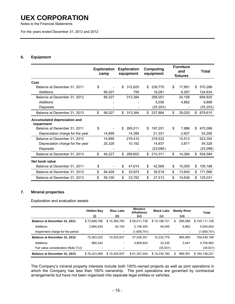Notes to the Financial Statements

For the years ended December 31, 2013 and 2012

### **6. Equipment**

|                                            | <b>Exploration</b><br>camp | <b>Exploration</b><br>equipment |     | Computing<br>equipment | <b>Furniture</b><br>and<br>fixtures |     | <b>Total</b> |
|--------------------------------------------|----------------------------|---------------------------------|-----|------------------------|-------------------------------------|-----|--------------|
| Cost                                       |                            |                                 |     |                        |                                     |     |              |
| Balance at December 31, 2011               | \$                         | \$<br>312.625                   | \$. | 239,770                | \$<br>17.891                        | S.  | 570,286      |
| Additions                                  | 99,327                     | 759                             |     | 18,281                 | 6,267                               |     | 124,634      |
| Balance at December 31, 2012               | 99,327                     | 313,384                         |     | 258,051                | 24,158                              |     | 694,920      |
| Additions                                  |                            |                                 |     | 5,036                  | 4.862                               |     | 9,898        |
| Disposals                                  |                            |                                 |     | (25, 203)              |                                     |     | (25, 203)    |
| Balance at December 31, 2013               | \$<br>99,327               | \$<br>313,384                   | \$  | 237,884                | \$<br>29,020                        | \$  | 679,615      |
| Accumulated depreciation and<br>impairment |                            |                                 |     |                        |                                     |     |              |
| Balance at December 31, 2011               | \$                         | \$<br>265.011                   | \$  | 197,201                | \$<br>7.886                         | \$  | 470,098      |
| Depreciation charge for the year           | 14.899                     | 14.399                          |     | 21,331                 | 2,627                               |     | 53,256       |
| Balance at December 31, 2012               | 14,899                     | 279,410                         |     | 218,532                | 10,513                              |     | 523,354      |
| Depreciation charge for the year           | 25,328                     | 10,192                          |     | 14,937                 | 3,871                               |     | 54,328       |
| <b>Disposals</b>                           |                            |                                 |     | (23,098)               |                                     |     | (23,098)     |
| Balance at December 31, 2013               | \$<br>40,227               | \$<br>289,602                   | \$  | 210,371                | \$<br>14,384                        | S.  | 554,584      |
| Net book value                             |                            |                                 |     |                        |                                     |     |              |
| Balance at December 31, 2011               | \$                         | \$<br>47,614                    | \$  | 42,569                 | \$<br>10,005                        | \$  | 100,188      |
| Balance at December 31, 2012               | \$<br>84,428               | \$<br>33,974                    | \$  | 39,519                 | \$<br>13,645                        | \$  | 171,566      |
| Balance at December 31, 2013               | \$<br>59,100               | \$<br>23,782                    | \$  | 27,513                 | \$<br>14,636                        | \$. | 125,031      |

### **7. Mineral properties**

Exploration and evaluation assets

|                                         | <b>Hidden Bay</b>        | <b>Riou Lake</b>         | Western<br>Athabasca | <b>Black Lake</b> | <b>Beatty River</b>      | Total         |
|-----------------------------------------|--------------------------|--------------------------|----------------------|-------------------|--------------------------|---------------|
|                                         | (i)                      | (ii)                     | (iv)                 | (v)               | (vi)                     |               |
| <b>Balance at December 31, 2011</b>     | \$72,668,796             | \$10,385,783             | \$56,011,738         | \$15,188,721      | 856,088<br>S             | \$155,111,126 |
| Additions                               | 2,694,429                | 40,154                   | 3.146.304            | 44.055            | 9,862                    | 5,934,804     |
| Impairment charge for the period        |                          | $\overline{\phantom{a}}$ | (1,609,741)          |                   | $\overline{\phantom{a}}$ | (1,609,741)   |
| Balance at December 31, 2012            | 75,363,225               | 10.425.937               | 57,548,301           | 15.232.776        | 865,950                  | 159,436,189   |
| Additions                               | 860.244                  | $\overline{\phantom{a}}$ | 3,808,943            | 33.335            | 3.441                    | 4,705,963     |
| Fair value consideration (Note $7(v)$ ) | $\overline{\phantom{a}}$ |                          |                      | (35,931)          |                          | (35, 931)     |
| Balance at December 31, 2013            | \$76,223,469             | \$10,425,937             | \$61,357,244         | \$15,230,180      | 869.391<br>\$            | \$164,106,221 |

The Company's mineral property interests include both 100%-owned projects as well as joint operations in which the Company has less than 100% ownership. The joint operations are governed by contractual arrangements but have not been organized into separate legal entities or vehicles.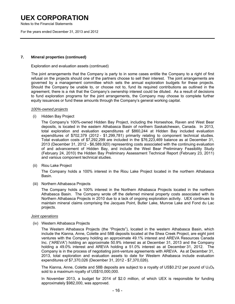Notes to the Financial Statements

For the years ended December 31, 2013 and 2012

### **7. Mineral properties (continued)**

#### Exploration and evaluation assets (continued)

The joint arrangements that the Company is party to in some cases entitle the Company to a right of first refusal on the projects should one of the partners choose to sell their interest. The joint arrangements are governed by a management committee which sets the annual exploration budgets for these projects. Should the Company be unable to, or choose not to, fund its required contributions as outlined in the agreement, there is a risk that the Company's ownership interest could be diluted. As a result of decisions to fund exploration programs for the joint arrangements, the Company may choose to complete further equity issuances or fund these amounts through the Company's general working capital.

#### *100%-owned projects*

(i) Hidden Bay Project

 The Company's 100%-owned Hidden Bay Project, including the Horseshoe, Raven and West Bear deposits, is located in the eastern Athabasca Basin of northern Saskatchewan, Canada. In 2013, total exploration and evaluation expenditures of \$860,244 at Hidden Bay included evaluation expenditures of \$702,379 (2012 - \$1,299,781) primarily relating to component technical studies. Total evaluation costs of \$7,292,299 are included in the \$76,223,469 balance as at December 31, 2013 (December 31, 2012 - \$6,589,920) representing costs associated with the continuing evaluation of and advancement of Hidden Bay, and include the West Bear Preliminary Feasibility Study (February 24, 2010) the Hidden Bay Preliminary Assessment Technical Report (February 23, 2011) and various component technical studies.

(ii) Riou Lake Project

 The Company holds a 100% interest in the Riou Lake Project located in the northern Athabasca Basin.

(iii) Northern Athabasca Projects

 The Company holds a 100% interest in the Northern Athabasca Projects located in the northern Athabasca Basin. The Company wrote off the deferred mineral property costs associated with its Northern Athabasca Projects in 2010 due to a lack of ongoing exploration activity. UEX continues to maintain mineral claims comprising the Jacques Point, Butler Lake, Munroe Lake and Fond du Lac projects.

### *Joint operations*

(iv) Western Athabasca Projects

 The Western Athabasca Projects (the "Projects"), located in the western Athabasca Basin, which include the Kianna, Anne, Colette and 58B deposits located at the Shea Creek Project, are eight joint ventures with the Company holding an approximate 49.1% interest and AREVA Resources Canada Inc. ("AREVA") holding an approximate 50.9% interest as at December 31, 2013 and the Company holding a 49.0% interest and AREVA holding a 51.0% interest as at December 31, 2012. The Company is in the process of negotiating joint-venture agreements with AREVA. As at December 31, 2013, total exploration and evaluation assets to date for Western Athabasca include evaluation expenditures of \$7,370,026 (December 31, 2012 - \$7,370,026).

The Kianna, Anne, Colette and 58B deposits are subject to a royalty of US\$0.212 per pound of  $U_3O_8$ sold to a maximum royalty of US\$10,000,000.

 In November 2013, a budget for 2014 of \$2.0 million, of which UEX is responsible for funding approximately \$982,000, was approved.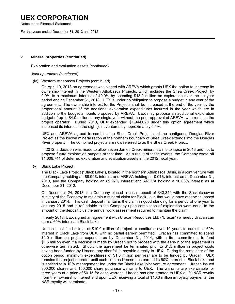Notes to the Financial Statements

For the years ended December 31, 2013 and 2012

### **7. Mineral properties (continued)**

Exploration and evaluation assets (continued)

#### *Joint operations (continued)*

(iv) Western Athabasca Projects (continued)

 On April 10, 2013 an agreement was signed with AREVA which grants UEX the option to increase its ownership interest in the Western Athabasca Projects, which includes the Shea Creek Project, by 0.9% to a maximum interest of 49.9% by spending \$18.0 million on exploration over the six-year period ending December 31, 2018. UEX is under no obligation to propose a budget in any year of the agreement. The ownership interest for the Projects shall be increased at the end of the year by the proportional amount of the additional exploration expenditures incurred in the year which are in addition to the budget amounts proposed by AREVA. UEX may propose an additional exploration budget of up to \$4.0 million in any single year without the prior approval of AREVA, who remains the project operator. During 2013, UEX expended \$1,944,020 under this option agreement which increased its interest in the eight joint ventures by approximately 0.1%.

UEX and AREVA agreed to combine the Shea Creek Project and the contiguous Douglas River Project as the known mineralization at the northern boundary of Shea Creek extends into the Douglas River property. The combined projects are now referred to as the Shea Creek Project.

 In 2012, a decision was made to allow seven James Creek mineral claims to lapse in 2013 and not to propose future exploration budgets at that time. As a result of these events, the Company wrote off \$1,609,741 of deferred exploration and evaluation assets in the 2012 fiscal year.

(v) Black Lake Project

 The Black Lake Project ("Black Lake"), located in the northern Athabasca Basin, is a joint venture with the Company holding an 89.99% interest and AREVA holding a 10.01% interest as at December 31, 2013, and the Company holding an 89.97% interest and AREVA holding a 10.03% interest as at December 31, 2012.

 On December 24, 2013, the Company placed a cash deposit of \$43,344 with the Saskatchewan Ministry of the Economy to maintain a mineral claim for Black Lake that would have otherwise lapsed in January 2014. This cash deposit maintains the claim in good standing for a period of one year to January 2015 and is refundable to the Company upon completion of exploration work equal to the amount of the deposit plus the annual work assessment required to maintain the claim.

 In early 2013, UEX signed an agreement with Uracan Resources Ltd. ("Uracan") whereby Uracan can earn a 60% interest in Black Lake.

 Uracan must fund a total of \$10.0 million of project expenditures over 10 years to earn their 60% interest in Black Lake from UEX, with no partial earn-in permitted. Uracan has committed to spend \$2.0 million on project expenditures by December 31, 2014, with a firm commitment to fund \$1.5 million even if a decision is made by Uracan not to proceed with the earn-in or the agreement is otherwise terminated. Should the agreement be terminated prior to \$1.5 million in project costs having been funded by Uracan, any shortfall is payable directly to UEX. During the remainder of the option period, minimum expenditures of \$1.0 million per year are to be funded by Uracan. UEX remains the project operator until such time as Uracan has earned its 60% interest in Black Lake and is entitled to a 10% management fee under the Black Lake joint venture agreement. Uracan issued 300,000 shares and 150,000 share purchase warrants to UEX. The warrants are exercisable for three years at a price of \$0.15 for each warrant. Uracan has also granted to UEX a 1% NSR royalty from their ownership interest and upon UEX receiving a total of \$10.0 million in royalty payments, the NSR royalty will terminate.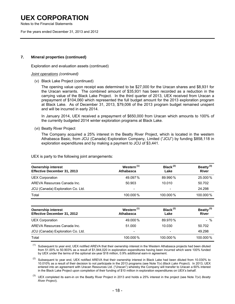Notes to the Financial Statements

For the years ended December 31, 2013 and 2012

### **7. Mineral properties (continued)**

Exploration and evaluation assets (continued)

#### *Joint operations (continued)*

(v) Black Lake Project (continued)

 The opening value upon receipt was determined to be \$27,000 for the Uracan shares and \$8,931 for the Uracan warrants. The combined amount of \$35,931 has been recorded as a reduction in the carrying value of the Black Lake Project. In the third quarter of 2013, UEX received from Uracan a prepayment of \$104,060 which represented the full budget amount for the 2013 exploration program at Black Lake. As of December 31, 2013, \$79,006 of the 2013 program budget remained unspent and will be incurred in early 2014.

 In January 2014, UEX received a prepayment of \$650,000 from Uracan which amounts to 100% of the currently budgeted 2014 winter exploration programs at Black Lake.

(vi) Beatty River Project

 The Company acquired a 25% interest in the Beatty River Project, which is located in the western Athabasca Basic, from JCU (Canada) Exploration Company, Limited ("JCU") by funding \$858,118 in exploration expenditures and by making a payment to JCU of \$3,441.

UEX is party to the following joint arrangements:

| <b>Ownership interest</b><br>Effective December 31, 2013 | Western <sup>(1)</sup><br>Athabasca | Black $(2)$<br>Lake      | Beatty $^{(3)}$<br><b>River</b> |  |
|----------------------------------------------------------|-------------------------------------|--------------------------|---------------------------------|--|
| <b>UEX Corporation</b>                                   | 49.097%                             | 89.990%                  | 25.000 %                        |  |
| AREVA Resources Canada Inc.                              | 50.903                              | 10.010                   | 50.702                          |  |
| JCU (Canada) Exploration Co. Ltd.                        | $\overline{\phantom{0}}$            | $\overline{\phantom{0}}$ | 24.298                          |  |
| Total                                                    | 100.000%                            | 100.000%                 | 100.000%                        |  |

| <b>Ownership interest</b><br>Effective December 31, 2012 | Western <sup>(1)</sup><br>Athabasca | Black $(2)$<br>Lake      | Beatty <sup>(3)</sup><br><b>River</b> |  |
|----------------------------------------------------------|-------------------------------------|--------------------------|---------------------------------------|--|
| <b>UEX Corporation</b>                                   | 49.000%                             | 89.970%                  | $-$ %                                 |  |
| AREVA Resources Canada Inc.                              | 51.000                              | 10.030                   | 50.702                                |  |
| JCU (Canada) Exploration Co. Ltd.                        | -                                   | $\overline{\phantom{0}}$ | 49.298                                |  |
| Total                                                    | 100.000%                            | 100.000%                 | 100.000%                              |  |

Subsequent to year end, UEX notified AREVA that their ownership interest in the Western Athabasca projects had been diluted from 51.00% to 50.903% as a result of \$1,944,020 in exploration expenditures having been incurred which were 100% funded by UEX under the terms of the optional six-year \$18 million, 0.9% additional earn-in agreement.

Subsequent to year end, UEX notified AREVA that their ownership interest in Black Lake had been diluted from 10.030% to 10.010% as a result of their decision to not participate in the 2013 programs (see Note 7(v) *Black Lake Project*). In 2013, UEX entered into an agreement with Uracan Resources Ltd. ("Uracan") whereby the Company will transfer to Uracan a 60% interest in the Black Lake Project upon completion of their funding of \$10 million in exploration expenditures on UEX's behalf.

(3) UEX completed its earn-in on the Beatty River Project in 2013 and holds a 25% interest in the project (see Note 7(vi) *Beatty River Project*).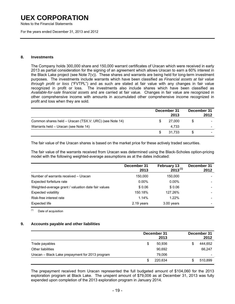Notes to the Financial Statements

For the years ended December 31, 2013 and 2012

#### **8. Investments**

The Company holds 300,000 share and 150,000 warrant certificates of Uracan which were received in early 2013 as partial consideration for the signing of an agreement which allows Uracan to earn a 60% interest in the Black Lake project (see Note 7(v)). These shares and warrants are being held for long-term investment purposes. The investments include warrants which have been classified as *Financial assets at fair value through profit or loss* ("FVTPL") and as such are stated at fair value with any changes in fair value recognized in profit or loss. The investments also include shares which have been classified as *Available-for-sale financial assets* and are carried at fair value. Changes in fair value are recognized in other comprehensive income with amounts in accumulated other comprehensive income recognized in profit and loss when they are sold.

|                                                        | December 31<br>2013 |   | December 31<br>2012 |
|--------------------------------------------------------|---------------------|---|---------------------|
| Common shares held - Uracan (TSX.V: URC) (see Note 14) | 27,000              | S |                     |
| Warrants held - Uracan (see Note 14)                   | 4.733               |   |                     |
|                                                        | 31.733              | S |                     |

The fair value of the Uracan shares is based on the market price for these actively traded securities.

The fair value of the warrants received from Uracan was determined using the Black-Scholes option-pricing model with the following weighted-average assumptions as at the dates indicated:

|                                                     | December 31<br>2013 | <b>February 13</b><br>$2013^{(1)}$ | December 31<br>2012 |
|-----------------------------------------------------|---------------------|------------------------------------|---------------------|
| Number of warrants received - Uracan                | 150,000             | 150,000                            |                     |
| Expected forfeiture rate                            | $0.00\%$            | $0.00\%$                           |                     |
| Weighted-average grant / valuation date fair values | \$0.06              | \$0.06                             |                     |
| <b>Expected volatility</b>                          | 150.18%             | 127.26%                            |                     |
| Risk-free interest rate                             | 1.14%               | $1.22\%$                           |                     |
| Expected life                                       | 2.19 years          | 3.00 years                         |                     |

(1) Date of acquisition

### **9. Accounts payable and other liabilities**

|                                                 |    | December 31<br>2013 |    | December 31<br>2012 |
|-------------------------------------------------|----|---------------------|----|---------------------|
| Trade payables                                  | S  | 50,936              | \$ | 444,652             |
| <b>Other liabilities</b>                        |    | 90,692              |    | 66,247              |
| Uracan - Black Lake prepayment for 2013 program |    | 79.006              |    |                     |
|                                                 | £. | 220.634             | S  | 510,899             |

The prepayment received from Uracan represented the full budgeted amount of \$104,060 for the 2013 exploration program at Black Lake. The unspent amount of \$79,006 as at December 31, 2013 was fully expended upon completion of the 2013 exploration program in January 2014.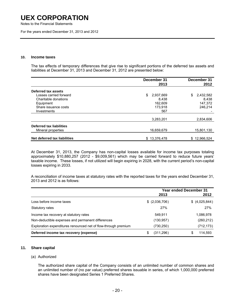Notes to the Financial Statements

For the years ended December 31, 2013 and 2012

#### **10. Income taxes**

 The tax effects of temporary differences that give rise to significant portions of the deferred tax assets and liabilities at December 31, 2013 and December 31, 2012 are presented below:

|                              | December 31<br>2013 | December 31<br>2012 |
|------------------------------|---------------------|---------------------|
| Deferred tax assets          |                     |                     |
| Losses carried forward       | \$<br>2,937,669     | 2,432,582<br>\$     |
| Charitable donations         | 8.438               | 8,438               |
| Equipment                    | 162.609             | 147,372             |
| Share issuance costs         | 173.918             | 246.214             |
| Investments                  | 567                 |                     |
|                              | 3,283,201           | 2,834,606           |
| Deferred tax liabilities     |                     |                     |
| Mineral properties           | 16,659,679          | 15,801,130          |
| Net deferred tax liabilities | \$13,376,478        | \$12,966,524        |

 At December 31, 2013, the Company has non-capital losses available for income tax purposes totaling approximately \$10,880,257 (2012 - \$9,009,561) which may be carried forward to reduce future years' taxable income. These losses, if not utilized will begin expiring in 2028, with the current period's non-capital losses expiring in 2033.

A reconciliation of income taxes at statutory rates with the reported taxes for the years ended December 31, 2013 and 2012 is as follows:

|                                                                | <b>Year ended December 31</b> |                |  |                |
|----------------------------------------------------------------|-------------------------------|----------------|--|----------------|
|                                                                |                               | 2013           |  | 2012           |
| Loss before income taxes                                       |                               | \$ (2,036,706) |  | \$ (4,025,844) |
| Statutory rates                                                |                               | 27%            |  | 27%            |
| Income tax recovery at statutory rates                         |                               | 549.911        |  | 1,086,978      |
| Non-deductible expenses and permanent differences              |                               | (130, 957)     |  | (260, 212)     |
| Exploration expenditures renounced net of flow-through premium |                               | (730,250)      |  | (712, 173)     |
| Deferred income tax recovery (expense)                         | S                             | (311, 296)     |  | 114,593<br>\$  |

### **11. Share capital**

(a) Authorized

 The authorized share capital of the Company consists of an unlimited number of common shares and an unlimited number of (no par value) preferred shares issuable in series, of which 1,000,000 preferred shares have been designated Series 1 Preferred Shares.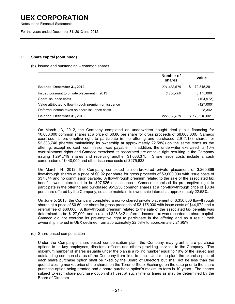Notes to the Financial Statements

For the years ended December 31, 2013 and 2012

### **11. Share capital (continued)**

### (b) Issued and outstanding – common shares

|                                                      | Number of<br>shares | Value         |
|------------------------------------------------------|---------------------|---------------|
| Balance, December 31, 2012                           | 221,488,679         | \$172,345,291 |
| Issued pursuant to private placement in 2013         | 6,350,000           | 3,175,000     |
| Share issuance costs                                 |                     | (104, 972)    |
| Value attributed to flow-through premium on issuance |                     | (127,000)     |
| Deferred income taxes on share issuance costs        |                     | 28,342        |
| Balance, December 31, 2013                           | 227,838,679         | \$175,316,661 |

 On March 13, 2012, the Company completed an underwritten bought deal public financing for 10,000,000 common shares at a price of \$0.80 per share for gross proceeds of \$8,000,000. Cameco exercised its pre-emptive right to participate in the offering and purchased 2,917,183 shares for \$2,333,746 (thereby maintaining its ownership at approximately 22.58%) on the same terms as the offering, except no cash commission was payable. In addition, the underwriter exercised its 10% over-allotment rights and Cameco exercised its associated pre-emptive right resulting in the Company issuing 1,291,719 shares and receiving another \$1,033,375. Share issue costs include a cash commission of \$440,000 and other issuance costs of \$275,633.

 On March 14, 2012, the Company completed a non-brokered private placement of 3,260,869 flow-through shares at a price of \$0.92 per share for gross proceeds of \$3,000,000 with issue costs of \$37,044 and no commission payable. A flow-through premium related to the sale of the associated tax benefits was determined to be \$97,826 on issuance. Cameco exercised its pre-emptive right to participate in the offering and purchased 951,256 common shares at a non-flow-through price of \$0.84 per share offered by the Company, so as to maintain its ownership interest at approximately 22.58%.

 On June 5, 2013, the Company completed a non-brokered private placement of 6,350,000 flow-through shares at a price of \$0.50 per share for gross proceeds of \$3,175,000 with issue costs of \$44,972 and a referral fee of \$60,000. A flow-through premium related to the sale of the associated tax benefits was determined to be \$127,000, and a related \$28,342 deferred income tax was recorded in share capital. Cameco did not exercise its pre-emptive right to participate in the offering and as a result, their ownership interest in UEX declined from approximately 22.58% to approximately 21.95%.

(c) Share-based compensation

 Under the Company's share-based compensation plan, the Company may grant share purchase options to its key employees, directors, officers and others providing services to the Company. The maximum number of shares issuable under the plan is a rolling number equal to 10% of the issued and outstanding common shares of the Company from time to time. Under the plan, the exercise price of each share purchase option shall be fixed by the Board of Directors but shall not be less than the quoted closing market price of the shares on the Toronto Stock Exchange on the date prior to the share purchase option being granted and a share purchase option's maximum term is 10 years. The shares subject to each share purchase option shall vest at such time or times as may be determined by the Board of Directors.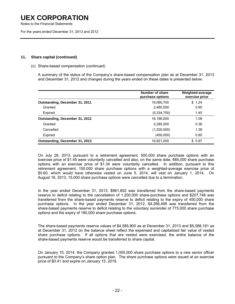Notes to the Financial Statements

For the years ended December 31, 2013 and 2012

### **11. Share capital (continued)**

### (c) Share-based compensation (continued)

 A summary of the status of the Company's share-based compensation plan as at December 31, 2013 and December 31, 2012 and changes during the years ended on these dates is presented below:

|                                | Number of share<br>purchase options | Weighted-average<br>exercise price |
|--------------------------------|-------------------------------------|------------------------------------|
| Outstanding, December 31, 2011 | 19,060,700                          | \$1.24                             |
| Granted                        | 2,460,000                           | 0.60                               |
| Expired                        | (5,334,700)                         | 1.45                               |
| Outstanding, December 31, 2012 | 16,186,000                          | 1.08                               |
| Granted                        | 2,285,000                           | 0.36                               |
| Cancelled                      | (1,200,000)                         | 1.38                               |
| Expired                        | (450,000)                           | 0.80                               |
| Outstanding, December 31, 2013 | 16,821,000                          | \$0.97                             |

On July 26, 2013, pursuant to a retirement agreement, 500,000 share purchase options with an exercise price of \$1.45 were voluntarily cancelled and also, on the same date, 685,000 share purchase options with an exercise price of \$1.34 were voluntarily cancelled. In addition, pursuant to this retirement agreement, 150,000 share purchase options with a weighted-average exercise price of \$0.60, which would have otherwise vested on June 5, 2014, will vest on January 1, 2014. On August 16, 2013, 15,000 share purchase options were cancelled due to a termination.

 In the year ended December 31, 2013, \$961,852 was transferred from the share-based payments reserve to deficit relating to the cancellation of 1,200,000 share-purchase options and \$207,748 was transferred from the share-based payments reserve to deficit relating to the expiry of 450,000 share purchase options. In the year ended December 31, 2012, \$4,266,495 was transferred from the share-based payments reserve to deficit relating to the voluntary surrender of 775,000 share purchase options and the expiry of 180,000 share purchase options.

 The share-based payments reserve values of \$4,585,900 as at December 31, 2013 and \$5,088,191 as at December 31, 2012 on the balance sheet reflect the expensed and capitalized fair value of vested share purchase options. If all options that are vested were exercised, the entire balance of the share-based payments reserve would be transferred to share capital.

On January 15, 2014, the Company granted 1,000,000 share purchase options to a new senior officer pursuant to the Company's share option plan. The share purchase options were issued at an exercise price of \$0.41 and expire on January 15, 2019.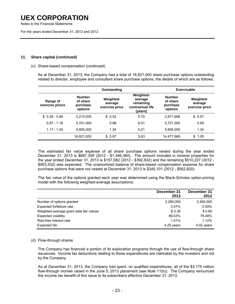Notes to the Financial Statements

For the years ended December 31, 2013 and 2012

### **11. Share capital (continued)**

### (c) Share-based compensation (continued)

 As at December 31, 2013, the Company had a total of 16,821,000 share purchase options outstanding related to director, employee and consultant share purchase options, the details of which are as follows:

|                             |                                                                                                   | Outstanding |                                                                         |                                                  | <b>Exercisable</b>                            |
|-----------------------------|---------------------------------------------------------------------------------------------------|-------------|-------------------------------------------------------------------------|--------------------------------------------------|-----------------------------------------------|
| Range of<br>exercise prices | <b>Number</b><br><b>Weighted-</b><br>of share<br>average<br>purchase<br>exercise price<br>options |             | <b>Weighted-</b><br>average<br>remaining<br>contractual life<br>(years) | <b>Number</b><br>of share<br>purchase<br>options | <b>Weighted-</b><br>average<br>exercise price |
| $$0.36 - 0.86$              | 5,215,000                                                                                         | \$0.52      | 5.70                                                                    | 2,871,668                                        | \$0.57                                        |
| $0.87 - 1.16$               | 5.701.000                                                                                         | 0.99        | 6.01                                                                    | 5.701.000                                        | 0.99                                          |
| $1.17 - 1.45$               | 5.905.000                                                                                         | 1.34        | 5.21                                                                    | 5,905,000                                        | 1.34                                          |
|                             | 16,821,000                                                                                        | \$0.97      | 5.63                                                                    | 14,477,668                                       | \$<br>1.05                                    |

 The estimated fair value expense of all share purchase options vested during the year ended December 31, 2013 is \$667,309 (2012 - \$1,346,364). The amount included in mineral properties for the year ended December 31, 2013 is \$157,082 (2012 - \$392,832) and the remaining \$510,227 (2012 - \$953,532) was expensed. The unamortized balance of share-based compensation expense for share purchase options that were not vested at December 31, 2013 is \$340,101 (2012 - \$562,820).

The fair value of the options granted each year was determined using the Black-Scholes option-pricing model with the following weighted-average assumptions:

|                                         | December 31 | December 31 |
|-----------------------------------------|-------------|-------------|
|                                         | 2013        | 2012        |
| Number of options granted               | 2,285,000   | 2,460,000   |
| Expected forfeiture rate                | 0.47%       | 0.55%       |
| Weighted-average grant date fair values | \$0.36      | \$0.60      |
| <b>Expected volatility</b>              | 69.03%      | 79.48%      |
| Risk-free interest rate                 | 1.51%       | 1.12%       |
| Expected life                           | 4.25 years  | 4.02 years  |

### (d) Flow-through shares

The Company has financed a portion of its exploration programs through the use of flow-through share issuances. Income tax deductions relating to these expenditures are claimable by the investors and not by the Company.

As at December 31, 2013, the Company had spent, on qualified expenditures, all of the \$3.175 million flow-through monies raised in the June 5, 2013 placement (see Note 11(b)). The Company renounced the income tax benefit of this issue to its subscribers effective December 31, 2013.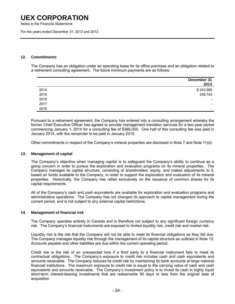Notes to the Financial Statements

For the years ended December 31, 2013 and 2012

### **12. Commitments**

 The Company has an obligation under an operating lease for its office premises and an obligation related to a retirement consulting agreement. The future minimum payments are as follows:

|      | December 31<br>2013      |
|------|--------------------------|
| 2014 | \$243,566                |
| 2015 | 239,743                  |
| 2016 | $\overline{\phantom{a}}$ |
| 2017 | $\overline{\phantom{a}}$ |
| 2018 | $\overline{\phantom{a}}$ |

Pursuant to a retirement agreement, the Company has entered into a consulting arrangement whereby the former Chief Executive Officer has agreed to provide management transition services for a two-year period commencing January 1, 2014 for a consulting fee of \$366,000. One half of this consulting fee was paid in January 2014, with the remainder to be paid in January 2015.

Other commitments in respect of the Company's mineral properties are disclosed in Note 7 and Note 11(d).

#### **13. Management of capital**

 The Company's objective when managing capital is to safeguard the Company's ability to continue as a going concern in order to pursue the exploration and evaluation programs on its mineral properties. The Company manages its capital structure, consisting of shareholders' equity, and makes adjustments to it, based on funds available to the Company, in order to support the exploration and evaluation of its mineral properties. Historically, the Company has relied exclusively on the issuance of common shares for its capital requirements.

 All of the Company's cash and cash equivalents are available for exploration and evaluation programs and administrative operations. The Company has not changed its approach to capital management during the current period, and is not subject to any external capital restrictions.

### **14. Management of financial risk**

 The Company operates entirely in Canada and is therefore not subject to any significant foreign currency risk. The Company's financial instruments are exposed to limited liquidity risk, credit risk and market risk.

 Liquidity risk is the risk that the Company will not be able to meet its financial obligations as they fall due. The Company manages liquidity risk through the management of its capital structure as outlined in Note 13. Accounts payable and other liabilities are due within the current operating period.

Credit risk is the risk of an unexpected loss if a third party to a financial instrument fails to meet its contractual obligations. The Company's exposure to credit risk includes cash and cash equivalents and amounts receivable. The Company reduces its credit risk by maintaining its bank accounts at large national financial institutions. The maximum exposure to credit risk is equal to the carrying value of cash and cash equivalents and amounts receivable. The Company's investment policy is to invest its cash in highly liquid short-term interest-bearing investments that are redeemable 90 days or less from the original date of acquisition.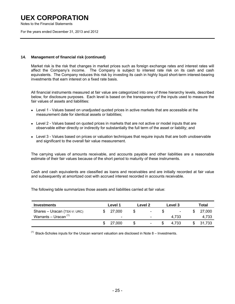Notes to the Financial Statements

For the years ended December 31, 2013 and 2012

### **14. Management of financial risk (continued)**

Market risk is the risk that changes in market prices such as foreign exchange rates and interest rates will affect the Company's income. The Company is subject to interest rate risk on its cash and cash equivalents. The Company reduces this risk by investing its cash in highly liquid short-term interest-bearing investments that earn interest on a fixed rate basis.

 All financial instruments measured at fair value are categorized into one of three hierarchy levels, described below, for disclosure purposes. Each level is based on the transparency of the inputs used to measure the fair values of assets and liabilities:

- Level 1 Values based on unadjusted quoted prices in active markets that are accessible at the measurement date for identical assets or liabilities;
- Level 2 Values based on quoted prices in markets that are not active or model inputs that are observable either directly or indirectly for substantially the full term of the asset or liability; and
- Level 3 Values based on prices or valuation techniques that require inputs that are both unobservable and significant to the overall fair value measurement.

 The carrying values of amounts receivable, and accounts payable and other liabilities are a reasonable estimate of their fair values because of the short period to maturity of these instruments.

 Cash and cash equivalents are classified as loans and receivables and are initially recorded at fair value and subsequently at amortized cost with accrued interest recorded in accounts receivable.

The following table summarizes those assets and liabilities carried at fair value:

| <b>Investments</b>           | Level 1                  |    | Level 2                  | Level 3                  | Total  |
|------------------------------|--------------------------|----|--------------------------|--------------------------|--------|
| Shares - Uracan (TSX-V: URC) | 27,000                   | æ  | $\overline{\phantom{a}}$ | $\overline{\phantom{0}}$ | 27,000 |
| Warrants – Uracan (1)        | $\overline{\phantom{0}}$ |    | $\overline{\phantom{0}}$ | 4.733                    | 4,733  |
|                              | 27.000                   | \$ | $\overline{\phantom{a}}$ | 4.733                    | 31.733 |

 $<sup>(1)</sup>$  Black-Scholes inputs for the Uracan warrant valuation are disclosed in Note 8 – Investments.</sup>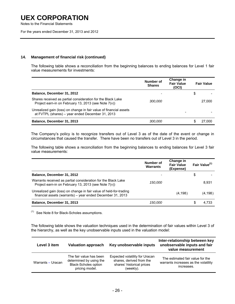Notes to the Financial Statements

For the years ended December 31, 2013 and 2012

### **14. Management of financial risk (continued)**

The following table shows a reconciliation from the beginning balances to ending balances for Level 1 fair value measurements for investments:

|                                                                                                                        | Number of<br><b>Shares</b> | Change in<br><b>Fair Value</b><br>(OCI) | <b>Fair Value</b> |
|------------------------------------------------------------------------------------------------------------------------|----------------------------|-----------------------------------------|-------------------|
| Balance, December 31, 2012                                                                                             |                            |                                         | \$                |
| Shares received as partial consideration for the Black Lake<br>Project earn-in on February 13, 2013 (see Note 7(v))    | <i>300.000</i>             |                                         | 27,000            |
| Unrealized gain (loss) on change in fair value of financial assets<br>at FVTPL (shares) - year ended December 31, 2013 |                            |                                         |                   |
| Balance, December 31, 2013                                                                                             | <i>300.000</i>             |                                         | 27,000            |

The Company's policy is to recognize transfers out of Level 3 as of the date of the event or change in circumstances that caused the transfer. There have been no transfers out of Level 3 in the period.

The following table shows a reconciliation from the beginning balances to ending balances for Level 3 fair value measurements:

|                                                                                                                                  | Number of<br><b>Warrants</b> | Change in<br><b>Fair Value</b><br>(Expense) |    | Fair Value <sup>(1)</sup> |
|----------------------------------------------------------------------------------------------------------------------------------|------------------------------|---------------------------------------------|----|---------------------------|
| Balance, December 31, 2012                                                                                                       |                              |                                             | \$ |                           |
| Warrants received as partial consideration for the Black Lake<br>Project earn-in on February 13, 2013 (see Note 7(y))            | 150,000                      |                                             |    | 8.931                     |
| Unrealized gain (loss) on change in fair value of held-for-trading<br>financial assets (warrants) - year ended December 31, 2013 |                              | (4, 198)                                    |    | (4,198)                   |
| Balance, December 31, 2013                                                                                                       | 150,000                      |                                             | S  | 4.733                     |

 $(1)$  See Note 8 for Black-Scholes assumptions.

The following table shows the valuation techniques used in the determination of fair values within Level 3 of the hierarchy, as well as the key unobservable inputs used in the valuation model:

| Level 3 item      | <b>Valuation approach</b>                                                                           | Key unobservable inputs                                                                              | Inter-relationship between key<br>unobservable inputs and fair<br>value measurement    |
|-------------------|-----------------------------------------------------------------------------------------------------|------------------------------------------------------------------------------------------------------|----------------------------------------------------------------------------------------|
| Warrants - Uracan | The fair value has been<br>determined by using the<br><b>Black-Scholes option</b><br>pricing model. | Expected volatility for Uracan<br>shares, derived from the<br>shares' historical prices<br>(weekly). | The estimated fair value for the<br>warrants increases as the volatility<br>increases. |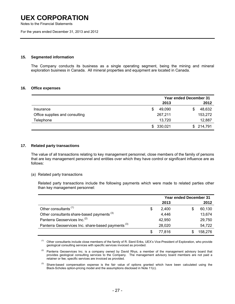Notes to the Financial Statements

For the years ended December 31, 2013 and 2012

### **15. Segmented information**

 The Company conducts its business as a single operating segment, being the mining and mineral exploration business in Canada. All mineral properties and equipment are located in Canada.

#### **16. Office expenses**

|                                |             | <b>Year ended December 31</b> |  |  |
|--------------------------------|-------------|-------------------------------|--|--|
|                                | 2013        | 2012                          |  |  |
| Insurance                      | 49.090<br>S | 48,632<br>S                   |  |  |
| Office supplies and consulting | 267,211     | 153,272                       |  |  |
| Telephone                      | 13.720      | 12,887                        |  |  |
|                                | \$330,021   | 214,791<br>S.                 |  |  |

### **17. Related party transactions**

 The value of all transactions relating to key management personnel, close members of the family of persons that are key management personnel and entities over which they have control or significant influence are as follows:

(a) Related party transactions

 Related party transactions include the following payments which were made to related parties other than key management personnel:

|                                                               |    | <b>Year ended December 31</b> |              |  |
|---------------------------------------------------------------|----|-------------------------------|--------------|--|
|                                                               |    | 2013                          | 2012         |  |
| Other consultants <sup>(1)</sup>                              | \$ | 2.400                         | 60,130<br>\$ |  |
| Other consultants share-based payments <sup>(3)</sup>         |    | 4,446                         | 13,674       |  |
| Panterra Geoservices Inc. <sup>(2)</sup>                      |    | 42,950                        | 29,750       |  |
| Panterra Geoservices Inc. share-based payments <sup>(3)</sup> |    | 28,020                        | 54,722       |  |
|                                                               | S  | 77.816                        | 158.276      |  |

(1) Other consultants include close members of the family of R. Sierd Eriks, UEX's Vice-President of Exploration, who provide geological consulting services with specific services invoiced as provided.

 $(2)$  Panterra Geoservices Inc. is a company owned by David Rhys, a member of the management advisory board that provides geological consulting services to the Company. The management advisory board members are not paid a retainer or fee; specific services are invoiced as provided.

 $<sup>(3)</sup>$  Share-based compensation expense is the fair value of options granted which have been calculated using the</sup> Black-Scholes option-pricing model and the assumptions disclosed in Note 11(c).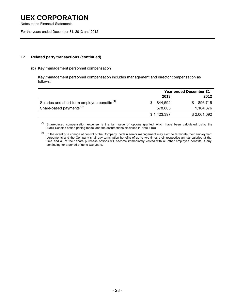Notes to the Financial Statements

For the years ended December 31, 2013 and 2012

### **17. Related party transactions (continued)**

#### (b) Key management personnel compensation

 Key management personnel compensation includes management and director compensation as follows:

|                                                          | <b>Year ended December 31</b> |                |  |
|----------------------------------------------------------|-------------------------------|----------------|--|
|                                                          | 2013                          | 2012           |  |
| Salaries and short-term employee benefits <sup>(4)</sup> | 844.592                       | 896.716<br>SS. |  |
| Share-based payments <sup>(3)</sup>                      | 578.805                       | 1.164.376      |  |
|                                                          | \$1,423,397                   | \$2,061,092    |  |

<sup>(3)</sup> Share-based compensation expense is the fair value of options granted which have been calculated using the Black-Scholes option-pricing model and the assumptions disclosed in Note 11(c).

<sup>(4)</sup> In the event of a change of control of the Company, certain senior management may elect to terminate their employment agreements and the Company shall pay termination benefits of up to two times their respective annual salaries at that time and all of their share purchase options will become immediately vested with all other employee benefits, if any, continuing for a period of up to two years.